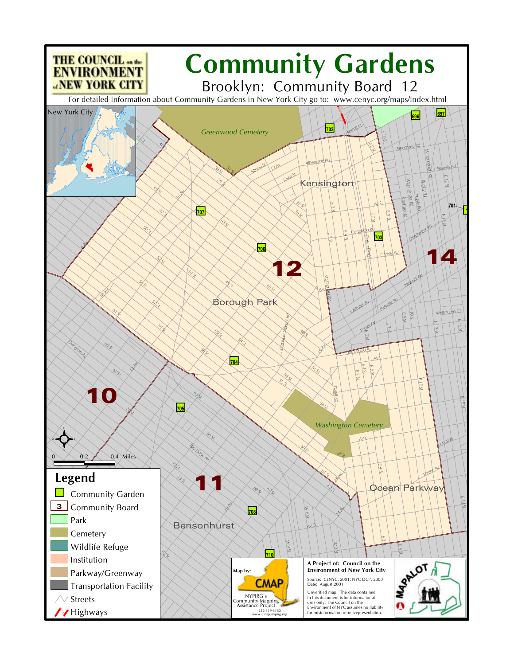